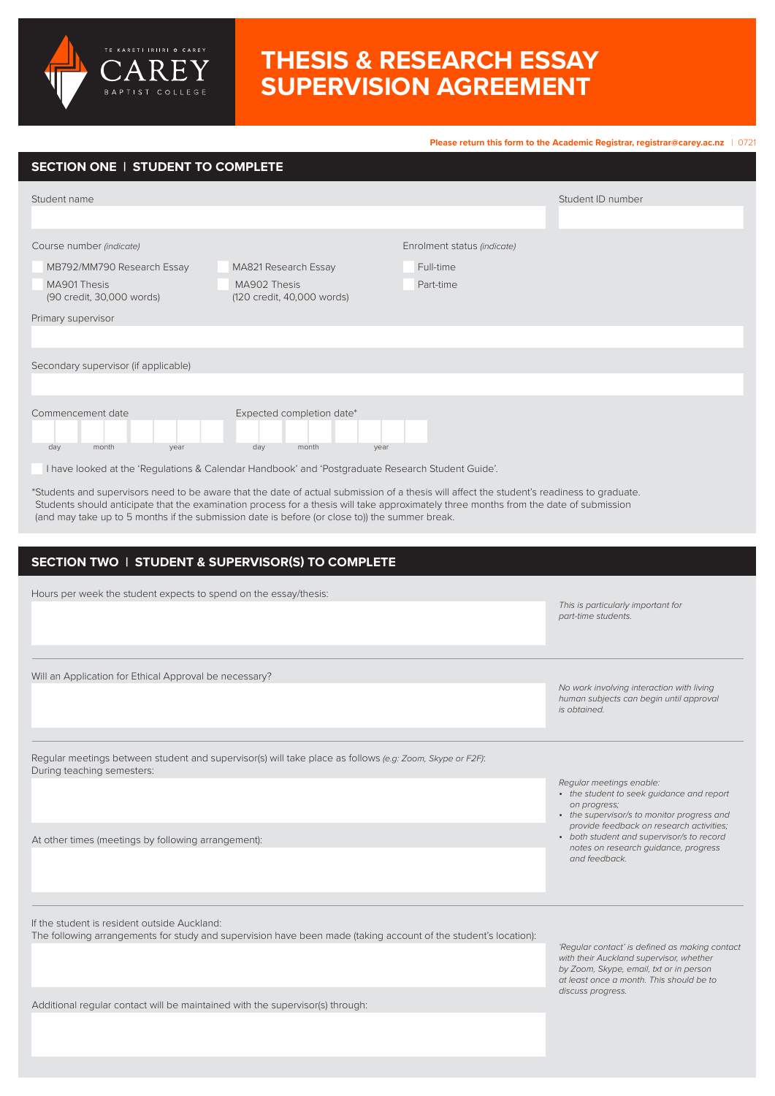

**Please return this form to the Academic Registrar, [registrar@carey.ac.nz](mailto:registrar%40carey.ac.nz%20?subject=)** | 0721 Student name Hours per week the student expects to spend on the essay/thesis: Will an Application for Ethical Approval be necessary? Regular meetings between student and supervisor(s) will take place as follows *(e.g: Zoom, Skype or F2F)*: During teaching semesters: Student ID number **SECTION ONE | STUDENT TO COMPLETE SECTION TWO | STUDENT & SUPERVISOR(S) TO COMPLETE** MB792/MM790 Research Essay Full-time MA901 Thesis (90 credit, 30,000 words) Part-time MA821 Research Essay MA902 Thesis (120 credit, 40,000 words) Course number *(indicate)* Enrolment status *(indicate)* Primary supervisor Secondary supervisor (if applicable) Commencement date Expected completion date\* day month year day month year I have looked at the 'Regulations & Calendar Handbook' and 'Postgraduate Research Student Guide'. \*Students and supervisors need to be aware that the date of actual submission of a thesis will affect the student's readiness to graduate. Students should anticipate that the examination process for a thesis will take approximately three months from the date of submission (and may take up to 5 months if the submission date is before (or close to)) the summer break. *Regular meetings enable:*  • *the student to seek guidance and report on progress;*  • *the supervisor/s to monitor progress and provide feedback on research activities; This is particularly important for part‑time students. No work involving interaction with living human subjects can begin until approval is obtained.*

At other times (meetings by following arrangement):

TE KARETI IRIIRI O CAREY

If the student is resident outside Auckland:

The following arrangements for study and supervision have been made (taking account of the student's location):

*'Regular contact' is defined as making contact with their Auckland supervisor, whether by Zoom, Skype, email, txt or in person at least once a month. This should be to discuss progress.*

• *both student and supervisor/s to record notes on research guidance, progress* 

*and feedback.*

Additional regular contact will be maintained with the supervisor(s) through: